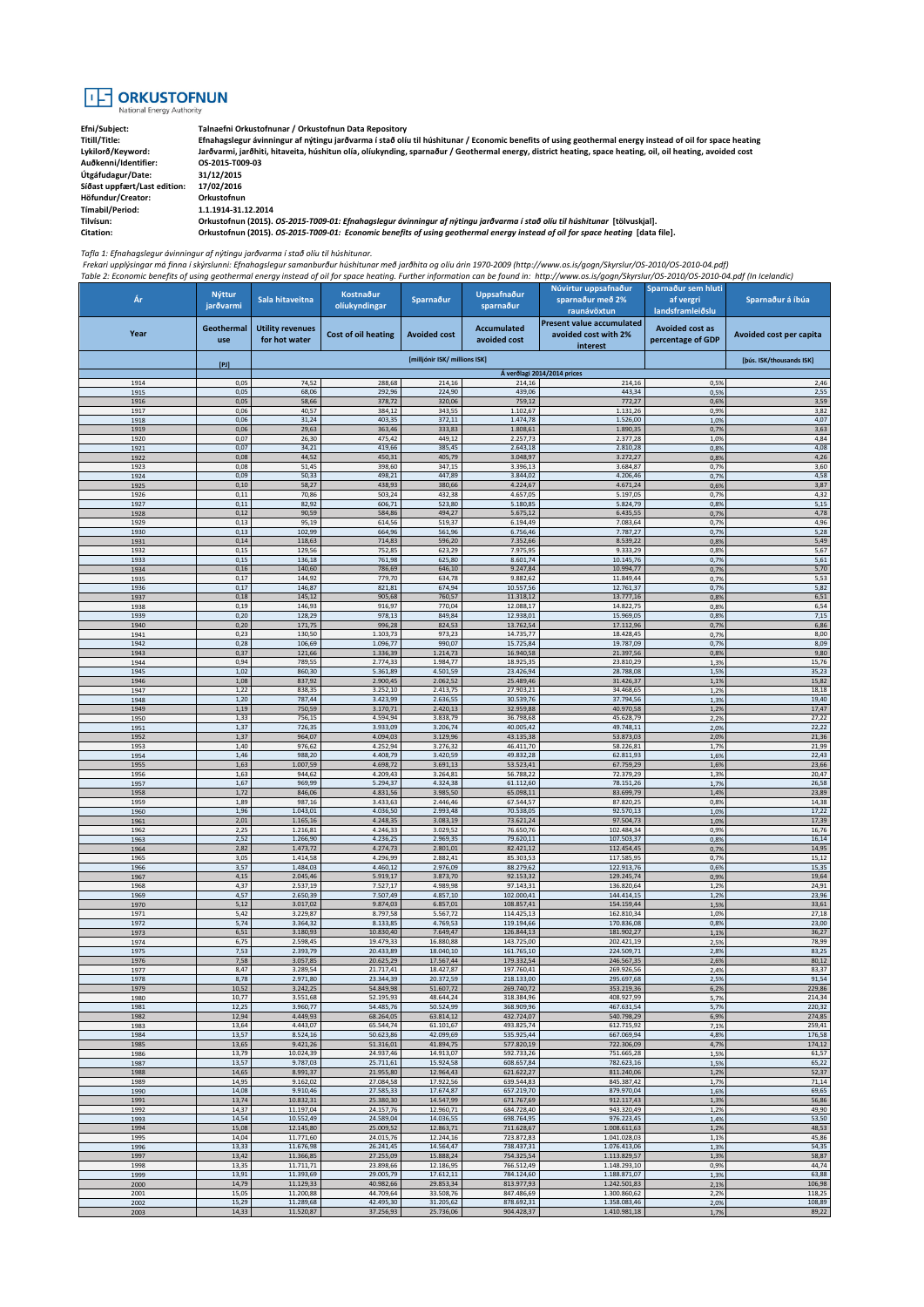## **TE ORKUSTOFNUN**

**Auðkenni/Identifier: OS-2015-T009-03 Útgáfudagur/Date: 31/12/2015**  $S$ íðast uppfært/Last edition: **Höfundur/Creator: Orkustofnun Tímabil/Period: 1.1.1914-31.12.2014**

**Efni/Subject: Talnaefni Orkustofnunar / Orkustofnun Data Repository Titill/Title: Efnahagslegur ávinningur af nýtingu jarðvarma í stað olíu til húshitunar / Economic benefits of using geothermal energy instead of oil for space heating Lykilorð/Keyword: Jarðvarmi, jarðhiti, hitaveita, húshitun olía, olíukynding, sparnaður / Geothermal energy, district heating, space heating, oil, oil heating, avoided cost**

**Tilvísun: Orkustofnun (2015).** *OS-2015-T009-01: Efnahagslegur ávinningur af nýtingu jarðvarma í stað olíu til húshitunar* **[tölvuskjal]. Citation: Orkustofnun (2015).** *OS-2015-T009-01: Economic benefits of using geothermal energy instead of oil for space heating* **[data file].**

*Tafla 1: Efnahagslegur ávinningur af nýtingu jarðvarma í stað olíu til húshitunar.* 

Frekari upplýsingar má finna í skýrslunni: Efnahagslegur samanburður húshitunar með jarðhita og olíu árin 1970-2009 (http://www.os.is/gogn/Skyrslur/OS-2010/OS-2010-04.pdf)<br>Table 2: Economic benefits of using geothermal ene

| Ár           | <b>Nýttur</b>     | Sala hitaveitna                          | Kostnaður              | Sparnaður                     | Uppsafnaður                        | Núvirtur uppsafnaður<br>sparnaður með 2%                             | Sparnaður sem hluti<br>af vergri            | Sparnaður á íbúa         |
|--------------|-------------------|------------------------------------------|------------------------|-------------------------------|------------------------------------|----------------------------------------------------------------------|---------------------------------------------|--------------------------|
|              | jarðvarmi         |                                          | olíukyndingar          |                               | sparnaður                          | raunávöxtun                                                          | landsframleiðslu                            |                          |
| Year         | Geothermal<br>use | <b>Utility revenues</b><br>for hot water | Cost of oil heating    | <b>Avoided cost</b>           | <b>Accumulated</b><br>avoided cost | <b>Present value accumulated</b><br>avoided cost with 2%<br>interest | <b>Avoided cost as</b><br>percentage of GDP | Avoided cost per capita  |
|              | $[P]$             |                                          |                        | [milljónir ISK/ millions ISK] |                                    |                                                                      |                                             | [þús. ISK/thousands ISK] |
|              |                   |                                          |                        |                               |                                    | Á verðlagi 2014/2014 prices                                          |                                             |                          |
| 1914<br>1915 | 0,05<br>0,05      | 74,52<br>68,06                           | 288,68<br>292,96       | 214,16<br>224,90              | 214,16<br>439,06                   | 214,16<br>443,34                                                     | 0,5%<br>0,5%                                | 2,46<br>2,55             |
| 1916         | 0,05              | 58,66                                    | 378,72                 | 320,06                        | 759,12                             | 772,27                                                               | 0,6%                                        | 3,59                     |
| 1917<br>1918 | 0,06<br>0,06      | 40,57<br>31,24                           | 384,12<br>403,35       | 343,55<br>372,11              | 1.102,67<br>1.474,78               | 1.131,26<br>1.526,00                                                 | 0,9%<br>1,0%                                | 3,82<br>4,07             |
| 1919         | 0,06              | 29,63                                    | 363,46                 | 333,83                        | 1.808,61                           | 1.890,35                                                             | 0,7%                                        | 3,63                     |
| 1920<br>1921 | 0,07<br>0,07      | 26,30<br>34,21                           | 475,42<br>419,66       | 449,12<br>385,45              | 2.257,73<br>2.643,18               | 2.377,28<br>2.810,28                                                 | 1,0%<br>0,8%                                | 4,84<br>4,08             |
| 1922         | 0,08              | 44,52                                    | 450,31                 | 405,79                        | 3.048,97                           | 3.272,27                                                             | 0,8%                                        | 4,26                     |
| 1923<br>1924 | 0,08<br>0,09      | 51,45<br>50,33                           | 398,60<br>498,21       | 347,15<br>447,89              | 3.396,13<br>3.844,02               | 3.684,87<br>4.206,46                                                 | 0.79<br>0,7%                                | 3,60<br>4,58             |
| 1925         | 0,10              | 58,27                                    | 438,93                 | 380,66                        | 4.224,67                           | 4.671,24                                                             | 0,6%                                        | 3,87                     |
| 1926<br>1927 | 0,11<br>0,11      | 70,86<br>82,92                           | 503,24<br>606,71       | 432,38<br>523,80              | 4.657,05<br>5.180,85               | 5.197,05<br>5.824,79                                                 | 0,7%<br>0,8%                                | 4,32<br>5,15             |
| 1928         | 0,12              | 90,59                                    | 584,86                 | 494,27                        | 5.675,12                           | 6.435,55                                                             | 0,7%                                        | 4,78                     |
| 1929<br>1930 | 0,13<br>0,13      | 95,19<br>102,99                          | 614,56<br>664,96       | 519,37<br>561,96              | 6.194,49<br>6.756,46               | 7.083,64<br>7.787,27                                                 | 0.79<br>0,7%                                | 4,96<br>5,28             |
| 1931         | 0,14              | 118,63                                   | 714,83                 | 596,20                        | 7.352,66                           | 8.539,22                                                             | 0,8%                                        | 5,49                     |
| 1932<br>1933 | 0,15<br>0,15      | 129,56<br>136,18                         | 752,85<br>761,98       | 623,29<br>625,80              | 7.975,95<br>8.601,74               | 9.333,29<br>10.145,76                                                | 0,8%<br>0,7%                                | 5,67<br>5,61             |
| 1934         | 0,16              | 140,60                                   | 786,69                 | 646,10                        | 9.247,84                           | 10.994,77                                                            | 0,7%                                        | 5,70                     |
| 1935         | 0,17              | 144,92                                   | 779,70                 | 634,78                        | 9.882,62                           | 11.849,44                                                            | 0,7%                                        | 5,53                     |
| 1936<br>1937 | 0,17<br>0,18      | 146,87<br>145,12                         | 821,81<br>905,68       | 674,94<br>760,57              | 10.557,56<br>11.318,12             | 12.761,37<br>13.777,16                                               | 0,7%<br>0,8%                                | 5,82<br>6,51             |
| 1938         | 0,19              | 146,93                                   | 916,97                 | 770,04                        | 12.088,17                          | 14.822,75                                                            | 0.89                                        | 6,54                     |
| 1939<br>1940 | 0,20<br>0,20      | 128,29<br>171,75                         | 978,13<br>996,28       | 849,84<br>824,53              | 12.938,01<br>13.762,54             | 15.969,05<br>17.112,96                                               | 0,8%<br>0,7%                                | 7,15<br>6,86             |
| 1941         | 0,23              | 130,50                                   | 1.103,73               | 973,23                        | 14.735,77                          | 18.428,45                                                            | 0,7%                                        | 8,00                     |
| 1942<br>1943 | 0,28<br>0,37      | 106,69                                   | 1.096,77<br>1.336,39   | 990,07<br>1.214,73            | 15.725,84                          | 19.787,09<br>21.397,56                                               | 0,7%<br>0,8%                                | 8,09<br>9,80             |
| 1944         | 0,94              | 121,66<br>789,55                         | 2.774,33               | 1.984,77                      | 16.940,58<br>18.925,35             | 23.810,29                                                            | 1,3%                                        | 15,76                    |
| 1945         | 1,02              | 860,30                                   | 5.361,89               | 4.501,59                      | 23.426,94                          | 28.788,08                                                            | 1,5%                                        | 35,23                    |
| 1946<br>1947 | 1,08<br>1,22      | 837,92<br>838,35                         | 2.900,45<br>3.252,10   | 2.062,52<br>2.413,75          | 25.489,46<br>27.903,21             | 31.426,37<br>34.468,65                                               | 1,19<br>1,2%                                | 15,82<br>18,18           |
| 1948         | 1,20              | 787,44                                   | 3.423,99               | 2.636,55                      | 30.539,76                          | 37.794,56                                                            | 1,3%                                        | 19,40                    |
| 1949<br>1950 | 1,19<br>1,33      | 750,59<br>756,15                         | 3.170,71<br>4.594,94   | 2.420,13<br>3.838,79          | 32.959,88<br>36.798,68             | 40.970,58<br>45.628,79                                               | 1,29<br>2,2%                                | 17,47<br>27,22           |
| 1951         | 1,37              | 726,35                                   | 3.933,09               | 3.206,74                      | 40.005,42                          | 49.748,11                                                            | 2,0%                                        | 22,22                    |
| 1952         | 1,37              | 964,07                                   | 4.094,03               | 3.129,96                      | 43.135,38                          | 53.873,03                                                            | 2,0%                                        | 21,36                    |
| 1953<br>1954 | 1,40<br>1,46      | 976,62<br>988,20                         | 4.252,94<br>4.408,79   | 3.276,32<br>3.420,59          | 46.411,70<br>49.832,28             | 58.226,81<br>62.811,93                                               | 1,7%<br>1,6%                                | 21,99<br>22,43           |
| 1955         | 1,63              | 1.007,59                                 | 4.698,72               | 3.691,13                      | 53.523,41                          | 67.759,29                                                            | 1,6%                                        | 23,66                    |
| 1956<br>1957 | 1,63<br>1,67      | 944,62<br>969,99                         | 4.209,43<br>5.294,37   | 3.264,81<br>4.324,38          | 56.788,22<br>61.112,60             | 72.379,29<br>78.151,26                                               | 1,3%<br>1,7%                                | 20,47<br>26,58           |
| 1958         | 1,72              | 846,06                                   | 4.831,56               | 3.985,50                      | 65.098,11                          | 83.699,79                                                            | 1,4%                                        | 23,89                    |
| 1959<br>1960 | 1,89<br>1,96      | 987,16<br>1.043,01                       | 3.433,63<br>4.036,50   | 2.446,46<br>2.993,48          | 67.544,57<br>70.538,05             | 87.820,25<br>92.570,13                                               | 0,8%<br>1,0%                                | 14,38<br>17,22           |
| 1961         | 2,01              | 1.165,16                                 | 4.248,35               | 3.083,19                      | 73.621,24                          | 97.504,73                                                            | 1,0%                                        | 17,39                    |
| 1962<br>1963 | 2,25<br>2,52      | 1.216,81                                 | 4.246,33<br>4.236,25   | 3.029,52<br>2.969,35          | 76.650,76<br>79.620,11             | 102.484,34<br>107.503,37                                             | 0.99<br>0,8%                                | 16,76<br>16,14           |
| 1964         | 2,82              | 1.266,90<br>1.473,72                     | 4.274,73               | 2.801,01                      | 82.421,12                          | 112.454,45                                                           | 0,7%                                        | 14,95                    |
| 1965         | 3,05              | 1.414,58                                 | 4.296,99               | 2.882,41                      | 85.303,53                          | 117.585,95                                                           | 0,7%                                        | 15,12                    |
| 1966<br>1967 | 3,57<br>4,15      | 1.484,03<br>2.045,46                     | 4.460,12<br>5.919,17   | 2.976,09<br>3.873,70          | 88.279,62<br>92.153,32             | 122.913,76<br>129.245,74                                             | 0,6%<br>0,9%                                | 15,35<br>19,64           |
| 1968         | 4,37              | 2.537,19                                 | 7.527,17               | 4.989,98                      | 97.143,31                          | 136.820,64                                                           | 1,2%                                        | 24,91                    |
| 1969<br>1970 | 4,57<br>5,12      | 2.650,39<br>3.017,02                     | 7.507,49<br>9.874,03   | 4.857,10<br>6.857,01          | 102.000,41<br>108.857,41           | 144.414,15<br>154.159,44                                             | 1,2%<br>1,5%                                | 23,96<br>33,61           |
| 1971         | 5,42              | 3.229,87                                 | 8.797,58               | 5.567,72                      | 114.425,13                         | 162.810,34                                                           | 1,0%                                        | 27,18                    |
| 1972<br>1973 | 5,74<br>6,51      | 3.364,32<br>3.180,93                     | 8.133,85<br>10.830,40  | 4.769,53<br>7.649,47          | 119.194,66<br>126.844,13           | 170.836,08<br>181.902,27                                             | 0,8%<br>1,19                                | 23,00<br>36,27           |
| 1974         | 6,75              | 2.598,45                                 | 19.479,33              | 16.880,88                     | 143.725,00                         | 202.421,19                                                           | 2,5%                                        | 78,99                    |
| 1975         | 7,53              | 2.393,79                                 | 20.433,89              | 18.040,10                     | 161.765,10                         | 224.509,71                                                           | 2,8%                                        | 83,25                    |
| 1976<br>1977 | 7,58<br>8,47      | 3.057,85<br>3.289,54                     | 20.625,29<br>21.717,41 | 17.567,44<br>18.427,87        | 179.332,54<br>197.760,41           | 246.567,35<br>269.926,56                                             | 2,6%<br>2,4%                                | 80,12<br>83,37           |
| 1978         | 8,78              | 2.971,80                                 | 23.344,39              | 20.372,59                     | 218.133,00                         | 295.697,68                                                           | 2,5%                                        | 91,54                    |
| 1979<br>1980 | 10,52<br>10,77    | 3.242,25<br>3.551,68                     | 54.849,98<br>52.195,93 | 51.607,72<br>48.644,24        | 269.740,72<br>318.384,96           | 353.219,36<br>408.927,99                                             | 6,2%<br>5,7%                                | 229,86<br>214,34         |
| 1981         | 12,25             | 3.960,77                                 | 54.485,76              | 50.524,99                     | 368.909,96                         | 467.631,54                                                           | 5,7%                                        | 220,32                   |
| 1982<br>1983 | 12,94<br>13,64    | 4.449,93<br>4.443,07                     | 68.264,05<br>65.544,74 | 63.814,12<br>61.101,67        | 432.724,07<br>493.825,74           | 540.798,29<br>612.715,92                                             | 6,9%<br>7,1%                                | 274,85<br>259,41         |
| 1984         | 13,57             | 8.524,16                                 | 50.623,86              | 42.099,69                     | 535.925,44                         | 667.069,94                                                           | 4,8%                                        | 176,58                   |
| 1985         | 13,65             | 9.421,26                                 | 51.316,01              | 41.894,75                     | 577.820,19                         | 722.306,09                                                           | 4,7%                                        | 174,12                   |
| 1986<br>1987 | 13,79<br>13,57    | 10.024,39<br>9.787,03                    | 24.937,46<br>25.711,61 | 14.913,07<br>15.924,58        | 592.733,26<br>608.657,84           | 751.665,28<br>782.623,16                                             | 1,5%<br>1,5%                                | 61,57<br>65,22           |
| 1988         | 14,65             | 8.991,37                                 | 21.955,80              | 12.964,43                     | 621.622,27                         | 811.240,06                                                           | 1,2%                                        | 52,37                    |
| 1989<br>1990 | 14,95<br>14,08    | 9.162,02<br>9.910,46                     | 27.084,58<br>27.585,33 | 17.922,56<br>17.674,87        | 639.544,83<br>657.219,70           | 845.387,42<br>879.970,04                                             | 1,7%<br>1,6%                                | 71,14<br>69,65           |
| 1991         | 13,74             | 10.832,31                                | 25.380,30              | 14.547,99                     | 671.767,69                         | 912.117,43                                                           | 1,3%                                        | 56,86                    |
| 1992         | 14,37             | 11.197,04                                | 24.157,76              | 12.960,71                     | 684.728,40                         | 943.320,49                                                           | 1,2%                                        | 49,90                    |
| 1993<br>1994 | 14,54<br>15,08    | 10.552,49<br>12.145,80                   | 24.589,04<br>25.009,52 | 14.036,55<br>12.863,71        | 698.764,95<br>711.628,67           | 976.223,45<br>1.008.611,63                                           | 1,4%<br>1,2%                                | 53,50<br>48,53           |
| 1995         | 14,04             | 11.771,60                                | 24.015,76              | 12.244,16                     | 723.872,83                         | 1.041.028,03                                                         | 1,1%                                        | 45,86                    |
| 1996<br>1997 | 13,33<br>13,42    | 11.676,98<br>11.366,85                   | 26.241,45<br>27.255,09 | 14.564,47<br>15.888,24        | 738.437,31<br>754.325,54           | 1.076.413,06<br>1.113.829,57                                         | 1,3%<br>1,3%                                | 54,35<br>58,87           |
| 1998         | 13,35             | 11.711,71                                | 23.898,66              | 12.186,95                     | 766.512,49                         | 1.148.293,10                                                         | 0,9%                                        | 44,74                    |
| 1999<br>2000 | 13,91<br>14,79    | 11.393,69<br>11.129,33                   | 29.005,79<br>40.982,66 | 17.612,11<br>29.853,34        | 784.124,60<br>813.977,93           | 1.188.871,07<br>1.242.501,83                                         | 1,3%<br>2,1%                                | 63,88<br>106,98          |
| 2001         | 15,05             | 11.200,88                                | 44.709,64              | 33.508,76                     | 847.486,69                         | 1.300.860,62                                                         | 2,2%                                        | 118,25                   |
| 2002<br>2003 | 15,29<br>14,33    | 11.289,68<br>11.520,87                   | 42.495,30<br>37.256,93 | 31.205,62<br>25.736,06        | 878.692,31<br>904.428,37           | 1.358.083,46<br>1.410.981,18                                         | 2,0%<br>1,7%                                | 108,89<br>89,22          |
|              |                   |                                          |                        |                               |                                    |                                                                      |                                             |                          |